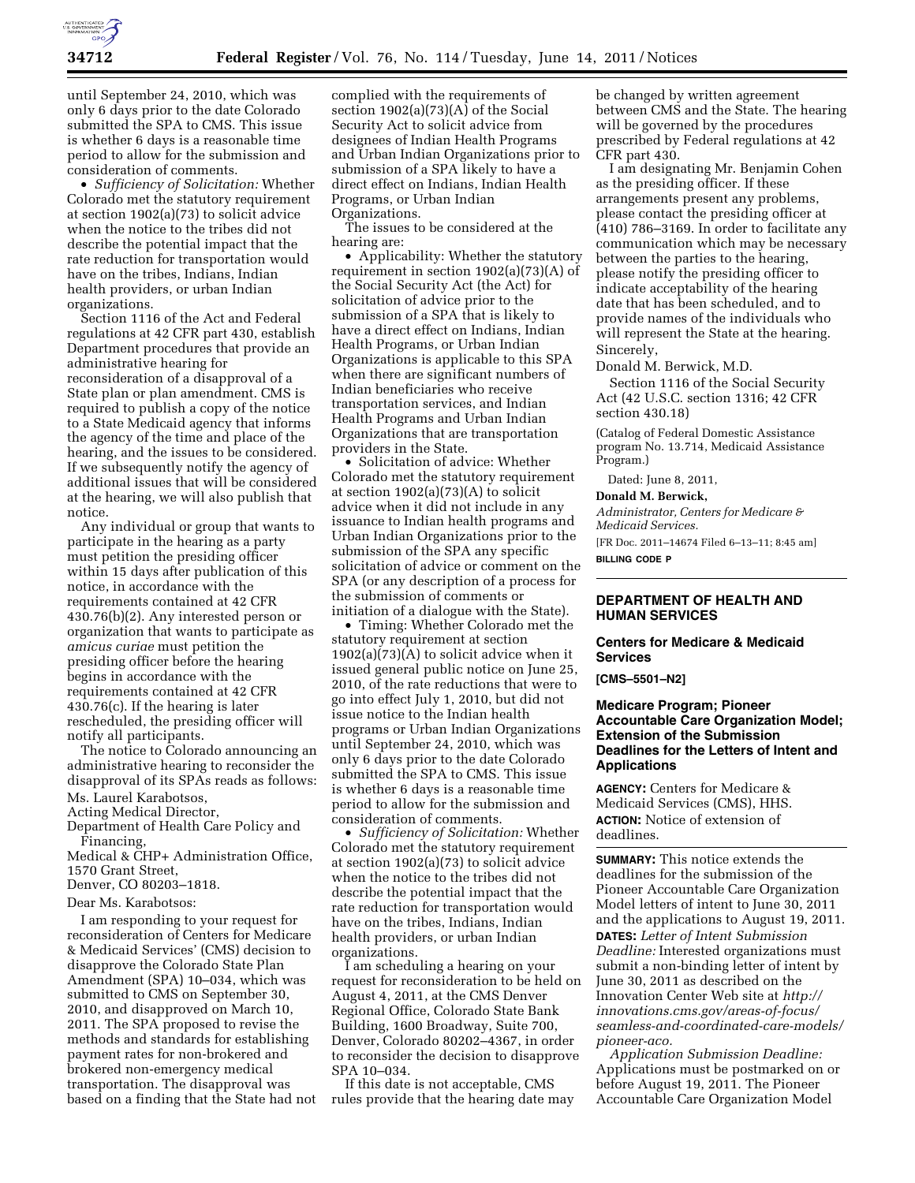

until September 24, 2010, which was only 6 days prior to the date Colorado submitted the SPA to CMS. This issue is whether 6 days is a reasonable time period to allow for the submission and consideration of comments.

• *Sufficiency of Solicitation:* Whether Colorado met the statutory requirement at section 1902(a)(73) to solicit advice when the notice to the tribes did not describe the potential impact that the rate reduction for transportation would have on the tribes, Indians, Indian health providers, or urban Indian organizations.

Section 1116 of the Act and Federal regulations at 42 CFR part 430, establish Department procedures that provide an administrative hearing for reconsideration of a disapproval of a State plan or plan amendment. CMS is required to publish a copy of the notice to a State Medicaid agency that informs the agency of the time and place of the hearing, and the issues to be considered. If we subsequently notify the agency of additional issues that will be considered at the hearing, we will also publish that notice.

Any individual or group that wants to participate in the hearing as a party must petition the presiding officer within 15 days after publication of this notice, in accordance with the requirements contained at 42 CFR 430.76(b)(2). Any interested person or organization that wants to participate as *amicus curiae* must petition the presiding officer before the hearing begins in accordance with the requirements contained at 42 CFR 430.76(c). If the hearing is later rescheduled, the presiding officer will notify all participants.

The notice to Colorado announcing an administrative hearing to reconsider the disapproval of its SPAs reads as follows: Ms. Laurel Karabotsos,

Acting Medical Director,

Department of Health Care Policy and Financing,

Medical & CHP+ Administration Office, 1570 Grant Street,

Denver, CO 80203–1818.

Dear Ms. Karabotsos:

I am responding to your request for reconsideration of Centers for Medicare & Medicaid Services' (CMS) decision to disapprove the Colorado State Plan Amendment (SPA) 10–034, which was submitted to CMS on September 30, 2010, and disapproved on March 10, 2011. The SPA proposed to revise the methods and standards for establishing payment rates for non-brokered and brokered non-emergency medical transportation. The disapproval was based on a finding that the State had not complied with the requirements of section  $1902(a)(73)(A)$  of the Social Security Act to solicit advice from designees of Indian Health Programs and Urban Indian Organizations prior to submission of a SPA likely to have a direct effect on Indians, Indian Health Programs, or Urban Indian Organizations.

The issues to be considered at the hearing are:

• Applicability: Whether the statutory requirement in section 1902(a)(73)(A) of the Social Security Act (the Act) for solicitation of advice prior to the submission of a SPA that is likely to have a direct effect on Indians, Indian Health Programs, or Urban Indian Organizations is applicable to this SPA when there are significant numbers of Indian beneficiaries who receive transportation services, and Indian Health Programs and Urban Indian Organizations that are transportation providers in the State.

• Solicitation of advice: Whether Colorado met the statutory requirement at section  $1902(a)(73)(A)$  to solicit advice when it did not include in any issuance to Indian health programs and Urban Indian Organizations prior to the submission of the SPA any specific solicitation of advice or comment on the SPA (or any description of a process for the submission of comments or initiation of a dialogue with the State).

• Timing: Whether Colorado met the statutory requirement at section  $1902(a)(73)(A)$  to solicit advice when it issued general public notice on June 25, 2010, of the rate reductions that were to go into effect July 1, 2010, but did not issue notice to the Indian health programs or Urban Indian Organizations until September 24, 2010, which was only 6 days prior to the date Colorado submitted the SPA to CMS. This issue is whether 6 days is a reasonable time period to allow for the submission and consideration of comments.

• *Sufficiency of Solicitation:* Whether Colorado met the statutory requirement at section 1902(a)(73) to solicit advice when the notice to the tribes did not describe the potential impact that the rate reduction for transportation would have on the tribes, Indians, Indian health providers, or urban Indian organizations.

I am scheduling a hearing on your request for reconsideration to be held on August 4, 2011, at the CMS Denver Regional Office, Colorado State Bank Building, 1600 Broadway, Suite 700, Denver, Colorado 80202–4367, in order to reconsider the decision to disapprove SPA 10–034.

If this date is not acceptable, CMS rules provide that the hearing date may

be changed by written agreement between CMS and the State. The hearing will be governed by the procedures prescribed by Federal regulations at 42 CFR part 430.

I am designating Mr. Benjamin Cohen as the presiding officer. If these arrangements present any problems, please contact the presiding officer at  $(410)$  786–3169. In order to facilitate any communication which may be necessary between the parties to the hearing, please notify the presiding officer to indicate acceptability of the hearing date that has been scheduled, and to provide names of the individuals who will represent the State at the hearing. Sincerely,

Donald M. Berwick, M.D.

Section 1116 of the Social Security Act (42 U.S.C. section 1316; 42 CFR section 430.18)

(Catalog of Federal Domestic Assistance program No. 13.714, Medicaid Assistance Program.)

Dated: June 8, 2011,

#### **Donald M. Berwick,**

*Administrator, Centers for Medicare & Medicaid Services.* 

[FR Doc. 2011–14674 Filed 6–13–11; 8:45 am] **BILLING CODE P** 

## **DEPARTMENT OF HEALTH AND HUMAN SERVICES**

### **Centers for Medicare & Medicaid Services**

**[CMS–5501–N2]** 

# **Medicare Program; Pioneer Accountable Care Organization Model; Extension of the Submission Deadlines for the Letters of Intent and Applications**

**AGENCY:** Centers for Medicare & Medicaid Services (CMS), HHS. **ACTION:** Notice of extension of deadlines.

**SUMMARY:** This notice extends the deadlines for the submission of the Pioneer Accountable Care Organization Model letters of intent to June 30, 2011 and the applications to August 19, 2011. **DATES:** *Letter of Intent Submission Deadline:* Interested organizations must submit a non-binding letter of intent by June 30, 2011 as described on the Innovation Center Web site at *[http://](http://innovations.cms.gov/areas-of-focus/seamless-and-coordinated-care-models/pioneer-aco) [innovations.cms.gov/areas-of-focus/](http://innovations.cms.gov/areas-of-focus/seamless-and-coordinated-care-models/pioneer-aco)  [seamless-and-coordinated-care-models/](http://innovations.cms.gov/areas-of-focus/seamless-and-coordinated-care-models/pioneer-aco)  [pioneer-aco.](http://innovations.cms.gov/areas-of-focus/seamless-and-coordinated-care-models/pioneer-aco)* 

*Application Submission Deadline:*  Applications must be postmarked on or before August 19, 2011. The Pioneer Accountable Care Organization Model